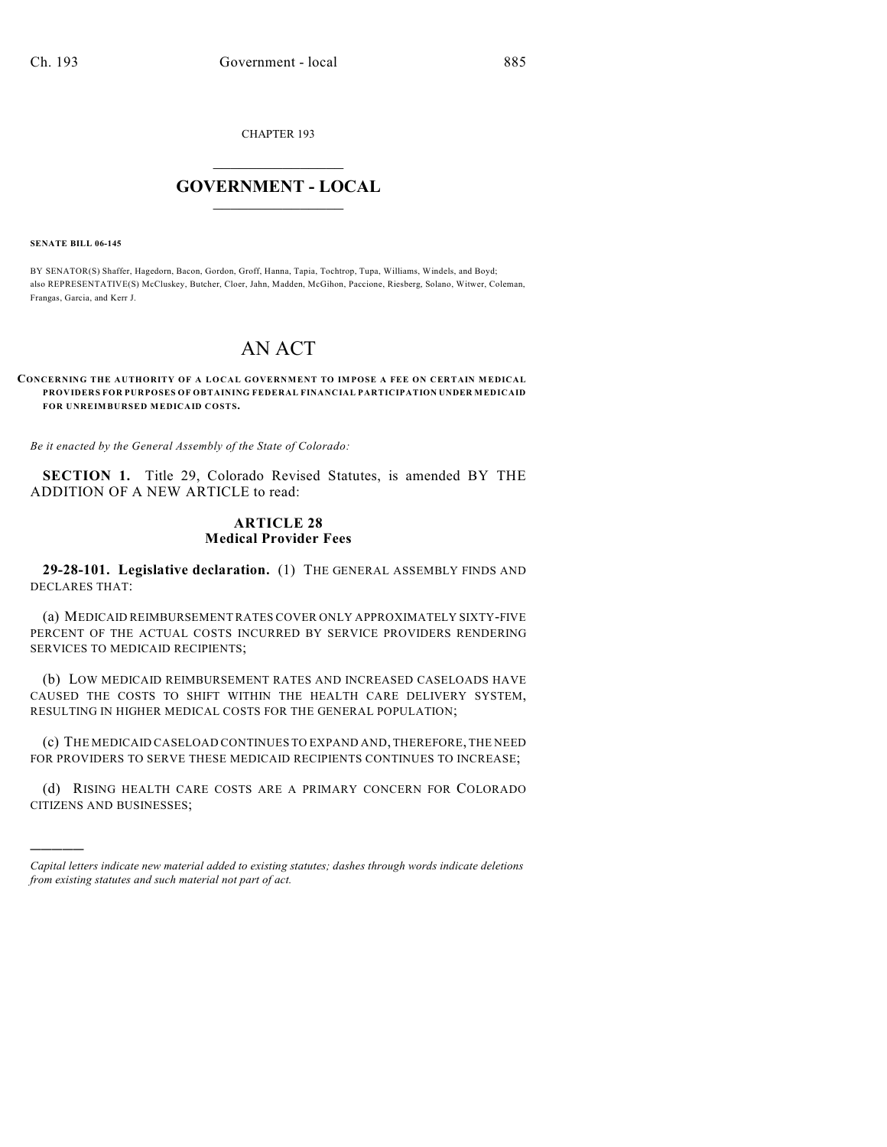CHAPTER 193

## $\mathcal{L}_\text{max}$  . The set of the set of the set of the set of the set of the set of the set of the set of the set of the set of the set of the set of the set of the set of the set of the set of the set of the set of the set **GOVERNMENT - LOCAL**  $\_$

**SENATE BILL 06-145**

)))))

BY SENATOR(S) Shaffer, Hagedorn, Bacon, Gordon, Groff, Hanna, Tapia, Tochtrop, Tupa, Williams, Windels, and Boyd; also REPRESENTATIVE(S) McCluskey, Butcher, Cloer, Jahn, Madden, McGihon, Paccione, Riesberg, Solano, Witwer, Coleman, Frangas, Garcia, and Kerr J.

## AN ACT

## **CONCERNING THE AUTHORITY OF A LOCAL GOVERNMENT TO IMPOSE A FEE ON CERTAIN MEDICAL PROVIDERS FOR PURPOSES OF OBTAINING FEDERAL FINANCIAL PARTICIPATION UNDER MEDICAID FOR UNREIMBURSED MEDICAID COSTS.**

*Be it enacted by the General Assembly of the State of Colorado:*

**SECTION 1.** Title 29, Colorado Revised Statutes, is amended BY THE ADDITION OF A NEW ARTICLE to read:

## **ARTICLE 28 Medical Provider Fees**

**29-28-101. Legislative declaration.** (1) THE GENERAL ASSEMBLY FINDS AND DECLARES THAT:

(a) MEDICAID REIMBURSEMENT RATES COVER ONLY APPROXIMATELY SIXTY-FIVE PERCENT OF THE ACTUAL COSTS INCURRED BY SERVICE PROVIDERS RENDERING SERVICES TO MEDICAID RECIPIENTS;

(b) LOW MEDICAID REIMBURSEMENT RATES AND INCREASED CASELOADS HAVE CAUSED THE COSTS TO SHIFT WITHIN THE HEALTH CARE DELIVERY SYSTEM, RESULTING IN HIGHER MEDICAL COSTS FOR THE GENERAL POPULATION;

(c) THE MEDICAID CASELOAD CONTINUES TO EXPAND AND, THEREFORE, THE NEED FOR PROVIDERS TO SERVE THESE MEDICAID RECIPIENTS CONTINUES TO INCREASE;

(d) RISING HEALTH CARE COSTS ARE A PRIMARY CONCERN FOR COLORADO CITIZENS AND BUSINESSES;

*Capital letters indicate new material added to existing statutes; dashes through words indicate deletions from existing statutes and such material not part of act.*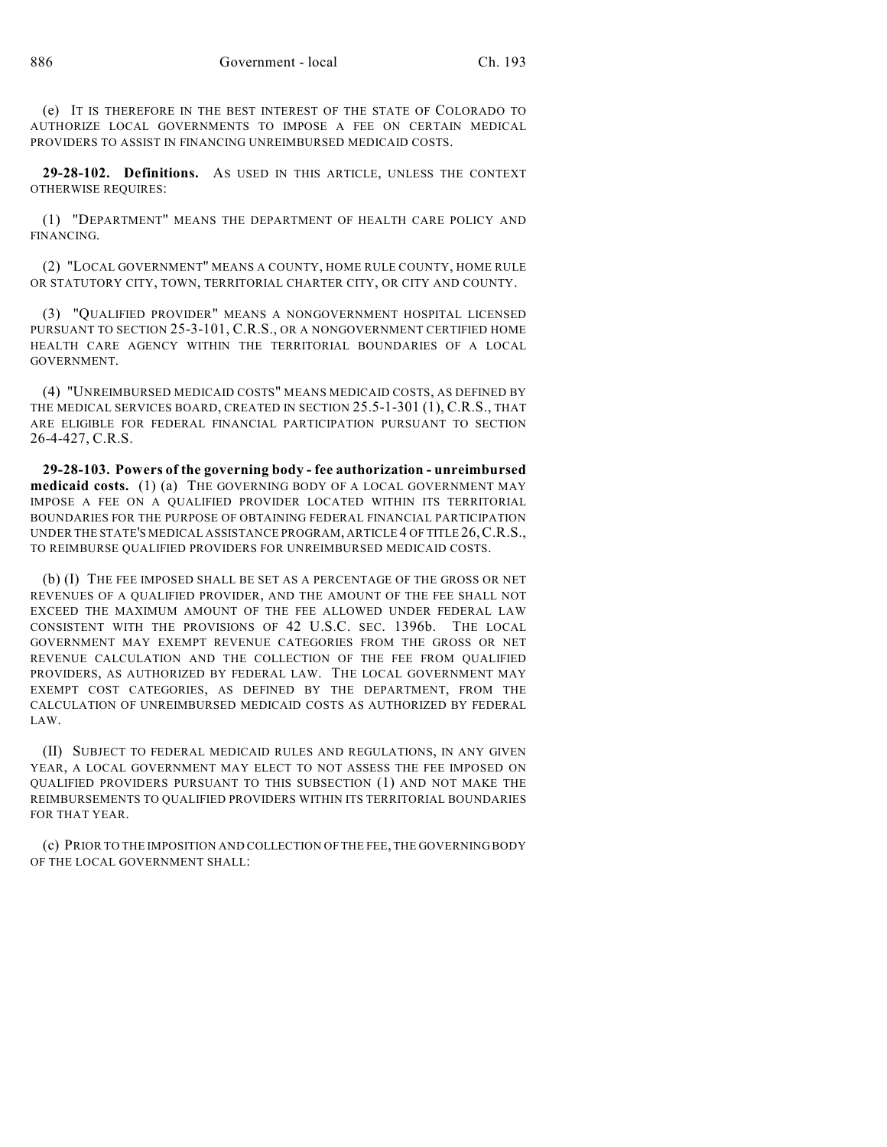(e) IT IS THEREFORE IN THE BEST INTEREST OF THE STATE OF COLORADO TO AUTHORIZE LOCAL GOVERNMENTS TO IMPOSE A FEE ON CERTAIN MEDICAL PROVIDERS TO ASSIST IN FINANCING UNREIMBURSED MEDICAID COSTS.

**29-28-102. Definitions.** AS USED IN THIS ARTICLE, UNLESS THE CONTEXT OTHERWISE REQUIRES:

(1) "DEPARTMENT" MEANS THE DEPARTMENT OF HEALTH CARE POLICY AND FINANCING.

(2) "LOCAL GOVERNMENT" MEANS A COUNTY, HOME RULE COUNTY, HOME RULE OR STATUTORY CITY, TOWN, TERRITORIAL CHARTER CITY, OR CITY AND COUNTY.

(3) "QUALIFIED PROVIDER" MEANS A NONGOVERNMENT HOSPITAL LICENSED PURSUANT TO SECTION 25-3-101, C.R.S., OR A NONGOVERNMENT CERTIFIED HOME HEALTH CARE AGENCY WITHIN THE TERRITORIAL BOUNDARIES OF A LOCAL GOVERNMENT.

(4) "UNREIMBURSED MEDICAID COSTS" MEANS MEDICAID COSTS, AS DEFINED BY THE MEDICAL SERVICES BOARD, CREATED IN SECTION 25.5-1-301 (1), C.R.S., THAT ARE ELIGIBLE FOR FEDERAL FINANCIAL PARTICIPATION PURSUANT TO SECTION 26-4-427, C.R.S.

**29-28-103. Powers of the governing body - fee authorization - unreimbursed medicaid costs.** (1) (a) THE GOVERNING BODY OF A LOCAL GOVERNMENT MAY IMPOSE A FEE ON A QUALIFIED PROVIDER LOCATED WITHIN ITS TERRITORIAL BOUNDARIES FOR THE PURPOSE OF OBTAINING FEDERAL FINANCIAL PARTICIPATION UNDER THE STATE'S MEDICAL ASSISTANCE PROGRAM, ARTICLE 4 OF TITLE 26,C.R.S., TO REIMBURSE QUALIFIED PROVIDERS FOR UNREIMBURSED MEDICAID COSTS.

(b) (I) THE FEE IMPOSED SHALL BE SET AS A PERCENTAGE OF THE GROSS OR NET REVENUES OF A QUALIFIED PROVIDER, AND THE AMOUNT OF THE FEE SHALL NOT EXCEED THE MAXIMUM AMOUNT OF THE FEE ALLOWED UNDER FEDERAL LAW CONSISTENT WITH THE PROVISIONS OF 42 U.S.C. SEC. 1396b. THE LOCAL GOVERNMENT MAY EXEMPT REVENUE CATEGORIES FROM THE GROSS OR NET REVENUE CALCULATION AND THE COLLECTION OF THE FEE FROM QUALIFIED PROVIDERS, AS AUTHORIZED BY FEDERAL LAW. THE LOCAL GOVERNMENT MAY EXEMPT COST CATEGORIES, AS DEFINED BY THE DEPARTMENT, FROM THE CALCULATION OF UNREIMBURSED MEDICAID COSTS AS AUTHORIZED BY FEDERAL LAW.

(II) SUBJECT TO FEDERAL MEDICAID RULES AND REGULATIONS, IN ANY GIVEN YEAR, A LOCAL GOVERNMENT MAY ELECT TO NOT ASSESS THE FEE IMPOSED ON QUALIFIED PROVIDERS PURSUANT TO THIS SUBSECTION (1) AND NOT MAKE THE REIMBURSEMENTS TO QUALIFIED PROVIDERS WITHIN ITS TERRITORIAL BOUNDARIES FOR THAT YEAR.

(c) PRIOR TO THE IMPOSITION AND COLLECTION OF THE FEE, THE GOVERNING BODY OF THE LOCAL GOVERNMENT SHALL: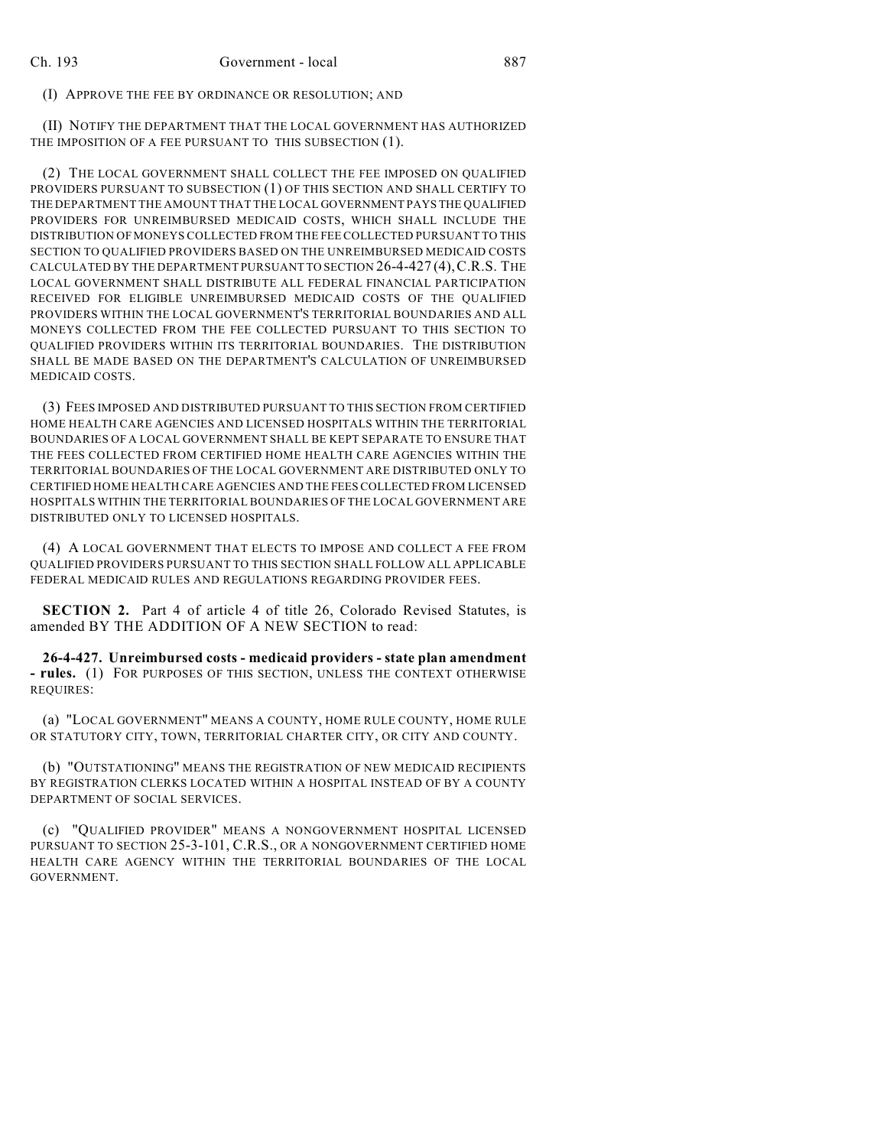(I) APPROVE THE FEE BY ORDINANCE OR RESOLUTION; AND

(II) NOTIFY THE DEPARTMENT THAT THE LOCAL GOVERNMENT HAS AUTHORIZED THE IMPOSITION OF A FEE PURSUANT TO THIS SUBSECTION (1).

(2) THE LOCAL GOVERNMENT SHALL COLLECT THE FEE IMPOSED ON QUALIFIED PROVIDERS PURSUANT TO SUBSECTION (1) OF THIS SECTION AND SHALL CERTIFY TO THE DEPARTMENT THE AMOUNT THAT THE LOCAL GOVERNMENT PAYS THE QUALIFIED PROVIDERS FOR UNREIMBURSED MEDICAID COSTS, WHICH SHALL INCLUDE THE DISTRIBUTION OF MONEYS COLLECTED FROM THE FEE COLLECTED PURSUANT TO THIS SECTION TO QUALIFIED PROVIDERS BASED ON THE UNREIMBURSED MEDICAID COSTS CALCULATED BY THE DEPARTMENT PURSUANT TO SECTION 26-4-427 (4),C.R.S. THE LOCAL GOVERNMENT SHALL DISTRIBUTE ALL FEDERAL FINANCIAL PARTICIPATION RECEIVED FOR ELIGIBLE UNREIMBURSED MEDICAID COSTS OF THE QUALIFIED PROVIDERS WITHIN THE LOCAL GOVERNMENT'S TERRITORIAL BOUNDARIES AND ALL MONEYS COLLECTED FROM THE FEE COLLECTED PURSUANT TO THIS SECTION TO QUALIFIED PROVIDERS WITHIN ITS TERRITORIAL BOUNDARIES. THE DISTRIBUTION SHALL BE MADE BASED ON THE DEPARTMENT'S CALCULATION OF UNREIMBURSED MEDICAID COSTS.

(3) FEES IMPOSED AND DISTRIBUTED PURSUANT TO THIS SECTION FROM CERTIFIED HOME HEALTH CARE AGENCIES AND LICENSED HOSPITALS WITHIN THE TERRITORIAL BOUNDARIES OF A LOCAL GOVERNMENT SHALL BE KEPT SEPARATE TO ENSURE THAT THE FEES COLLECTED FROM CERTIFIED HOME HEALTH CARE AGENCIES WITHIN THE TERRITORIAL BOUNDARIES OF THE LOCAL GOVERNMENT ARE DISTRIBUTED ONLY TO CERTIFIED HOME HEALTH CARE AGENCIES AND THE FEES COLLECTED FROM LICENSED HOSPITALS WITHIN THE TERRITORIAL BOUNDARIES OF THE LOCAL GOVERNMENT ARE DISTRIBUTED ONLY TO LICENSED HOSPITALS.

(4) A LOCAL GOVERNMENT THAT ELECTS TO IMPOSE AND COLLECT A FEE FROM QUALIFIED PROVIDERS PURSUANT TO THIS SECTION SHALL FOLLOW ALL APPLICABLE FEDERAL MEDICAID RULES AND REGULATIONS REGARDING PROVIDER FEES.

**SECTION 2.** Part 4 of article 4 of title 26, Colorado Revised Statutes, is amended BY THE ADDITION OF A NEW SECTION to read:

**26-4-427. Unreimbursed costs - medicaid providers - state plan amendment - rules.** (1) FOR PURPOSES OF THIS SECTION, UNLESS THE CONTEXT OTHERWISE REQUIRES:

(a) "LOCAL GOVERNMENT" MEANS A COUNTY, HOME RULE COUNTY, HOME RULE OR STATUTORY CITY, TOWN, TERRITORIAL CHARTER CITY, OR CITY AND COUNTY.

(b) "OUTSTATIONING" MEANS THE REGISTRATION OF NEW MEDICAID RECIPIENTS BY REGISTRATION CLERKS LOCATED WITHIN A HOSPITAL INSTEAD OF BY A COUNTY DEPARTMENT OF SOCIAL SERVICES.

(c) "QUALIFIED PROVIDER" MEANS A NONGOVERNMENT HOSPITAL LICENSED PURSUANT TO SECTION 25-3-101, C.R.S., OR A NONGOVERNMENT CERTIFIED HOME HEALTH CARE AGENCY WITHIN THE TERRITORIAL BOUNDARIES OF THE LOCAL GOVERNMENT.